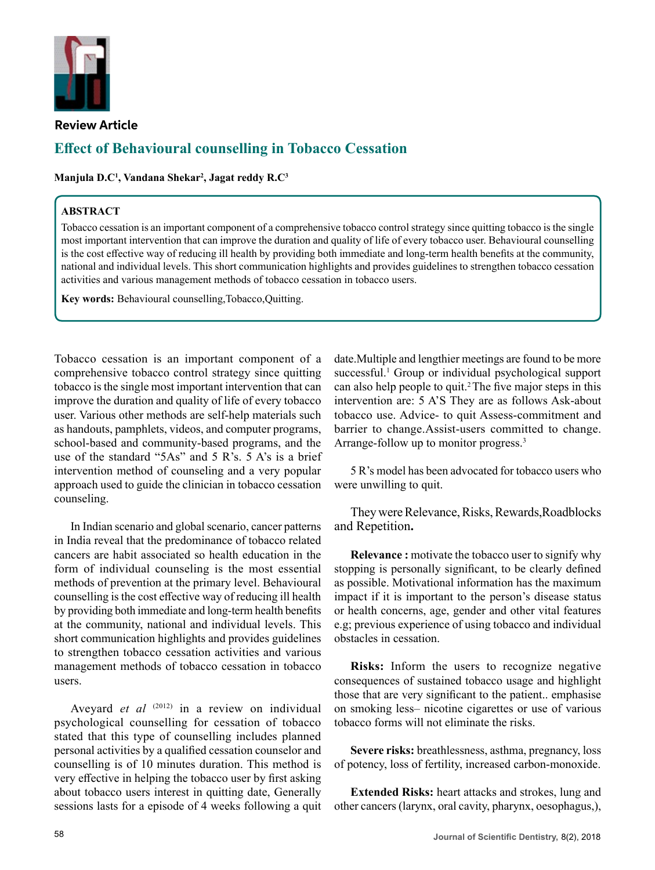

### **Review Article**

# **Effect of Behavioural counselling in Tobacco Cessation**

**Manjula D.C1 , Vandana Shekar2 , Jagat reddy R.C3**

## **ABSTRACT**

Tobacco cessation is an important component of a comprehensive tobacco control strategy since quitting tobacco is the single most important intervention that can improve the duration and quality of life of every tobacco user. Behavioural counselling is the cost effective way of reducing ill health by providing both immediate and long-term health benefits at the community, national and individual levels. This short communication highlights and provides guidelines to strengthen tobacco cessation activities and various management methods of tobacco cessation in tobacco users.

**Key words:** Behavioural counselling,Tobacco,Quitting.

Tobacco cessation is an important component of a comprehensive tobacco control strategy since quitting tobacco is the single most important intervention that can improve the duration and quality of life of every tobacco user. Various other methods are self-help materials such as handouts, pamphlets, videos, and computer programs, school-based and community-based programs, and the use of the standard "5As" and 5 R's. 5 A's is a brief intervention method of counseling and a very popular approach used to guide the clinician in tobacco cessation counseling.

In Indian scenario and global scenario, cancer patterns in India reveal that the predominance of tobacco related cancers are habit associated so health education in the form of individual counseling is the most essential methods of prevention at the primary level. Behavioural counselling is the cost effective way of reducing ill health by providing both immediate and long-term health benefits at the community, national and individual levels. This short communication highlights and provides guidelines to strengthen tobacco cessation activities and various management methods of tobacco cessation in tobacco users.

Aveyard *et al* <sup>(2012)</sup> in a review on individual psychological counselling for cessation of tobacco stated that this type of counselling includes planned personal activities by a qualified cessation counselor and counselling is of 10 minutes duration. This method is very effective in helping the tobacco user by first asking about tobacco users interest in quitting date, Generally sessions lasts for a episode of 4 weeks following a quit date.Multiple and lengthier meetings are found to be more successful.<sup>1</sup> Group or individual psychological support can also help people to quit.2 The five major steps in this intervention are: 5 A'S They are as follows Ask-about tobacco use. Advice- to quit Assess-commitment and barrier to change.Assist-users committed to change. Arrange-follow up to monitor progress.<sup>3</sup>

5 R's model has been advocated for tobacco users who were unwilling to quit.

They were Relevance, Risks, Rewards,Roadblocks and Repetition**.**

**Relevance :** motivate the tobacco user to signify why stopping is personally significant, to be clearly defined as possible. Motivational information has the maximum impact if it is important to the person's disease status or health concerns, age, gender and other vital features e.g; previous experience of using tobacco and individual obstacles in cessation.

**Risks:** Inform the users to recognize negative consequences of sustained tobacco usage and highlight those that are very significant to the patient.. emphasise on smoking less– nicotine cigarettes or use of various tobacco forms will not eliminate the risks.

**Severe risks:** breathlessness, asthma, pregnancy, loss of potency, loss of fertility, increased carbon-monoxide.

**Extended Risks:** heart attacks and strokes, lung and other cancers (larynx, oral cavity, pharynx, oesophagus,),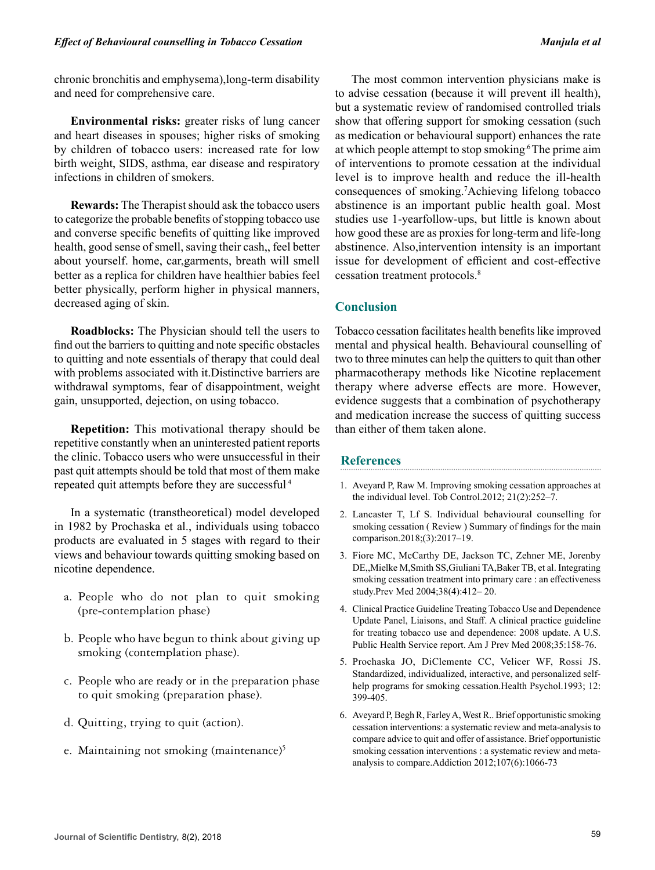chronic bronchitis and emphysema),long-term disability and need for comprehensive care.

**Environmental risks:** greater risks of lung cancer and heart diseases in spouses; higher risks of smoking by children of tobacco users: increased rate for low birth weight, SIDS, asthma, ear disease and respiratory infections in children of smokers.

**Rewards:** The Therapist should ask the tobacco users to categorize the probable benefits of stopping tobacco use and converse specific benefits of quitting like improved health, good sense of smell, saving their cash,, feel better about yourself. home, car,garments, breath will smell better as a replica for children have healthier babies feel better physically, perform higher in physical manners, decreased aging of skin.

**Roadblocks:** The Physician should tell the users to find out the barriers to quitting and note specific obstacles to quitting and note essentials of therapy that could deal with problems associated with it.Distinctive barriers are withdrawal symptoms, fear of disappointment, weight gain, unsupported, dejection, on using tobacco.

**Repetition:** This motivational therapy should be repetitive constantly when an uninterested patient reports the clinic. Tobacco users who were unsuccessful in their past quit attempts should be told that most of them make repeated quit attempts before they are successful.4

In a systematic (transtheoretical) model developed in 1982 by Prochaska et al., individuals using tobacco products are evaluated in 5 stages with regard to their views and behaviour towards quitting smoking based on nicotine dependence.

- a. People who do not plan to quit smoking (pre-contemplation phase)
- b. People who have begun to think about giving up smoking (contemplation phase).
- c. People who are ready or in the preparation phase to quit smoking (preparation phase).
- d. Quitting, trying to quit (action).
- e. Maintaining not smoking (maintenance)<sup>5</sup>

The most common intervention physicians make is to advise cessation (because it will prevent ill health), but a systematic review of randomised controlled trials show that offering support for smoking cessation (such as medication or behavioural support) enhances the rate at which people attempt to stop smoking.<sup>6</sup> The prime aim of interventions to promote cessation at the individual level is to improve health and reduce the ill-health consequences of smoking.7 Achieving lifelong tobacco abstinence is an important public health goal. Most studies use 1-yearfollow-ups, but little is known about how good these are as proxies for long-term and life-long abstinence. Also,intervention intensity is an important issue for development of efficient and cost-effective cessation treatment protocols.8

# **Conclusion**

Tobacco cessation facilitates health benefits like improved mental and physical health. Behavioural counselling of two to three minutes can help the quitters to quit than other pharmacotherapy methods like Nicotine replacement therapy where adverse effects are more. However, evidence suggests that a combination of psychotherapy and medication increase the success of quitting success than either of them taken alone.

## **References**

- 1. Aveyard P, Raw M. Improving smoking cessation approaches at the individual level. Tob Control.2012; 21(2):252–7.
- 2. Lancaster T, Lf S. Individual behavioural counselling for smoking cessation ( Review ) Summary of findings for the main comparison.2018;(3):2017–19.
- 3. Fiore MC, McCarthy DE, Jackson TC, Zehner ME, Jorenby DE,,Mielke M,Smith SS,Giuliani TA,Baker TB, et al. Integrating smoking cessation treatment into primary care : an effectiveness study.Prev Med 2004;38(4):412– 20.
- 4. Clinical Practice Guideline Treating Tobacco Use and Dependence Update Panel, Liaisons, and Staff. A clinical practice guideline for treating tobacco use and dependence: 2008 update. A U.S. Public Health Service report. Am J Prev Med 2008;35:158-76.
- 5. Prochaska JO, DiClemente CC, Velicer WF, Rossi JS. Standardized, individualized, interactive, and personalized selfhelp programs for smoking cessation. Health Psychol.1993; 12: 399-405.
- 6. Aveyard P, Begh R, Farley A, West R.. Brief opportunistic smoking cessation interventions: a systematic review and meta-analysis to compare advice to quit and offer of assistance. Brief opportunistic smoking cessation interventions : a systematic review and metaanalysis to compare.Addiction 2012;107(6):1066-73